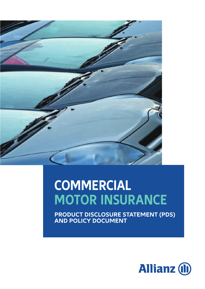

# **COMMERCIAL MOTOR INSURANCE**

**PRODUCT DISCLOSURE STATEMENT (PDS) AND POLICY DOCUMENT**

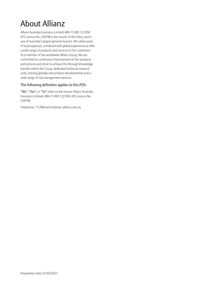## About Allianz

Allianz Australia Insurance Limited ABN 15 000 122 850 AFS Licence No. 234708 is the insurer of the Policy and is one of Australia's largest general insurers. We utilise years of local expertise, combined with global experience to offer a wide range of products and services to Our customers. As a member of the worldwide Allianz Group, We are committed to continuous improvement of Our products and services and strive to achieve this through knowledge transfer within the Group, dedicated technical research units, sharing globally new product developments and a wide range of risk management services.

#### The following definition applies to this PDS:

"We", "Our", or "Us" refers to the insurer Allianz Australia Insurance Limited, ABN 15 000 122 850, AFS Licence No. 234708.

Telephone: 13 2664 and website: allianz.com.au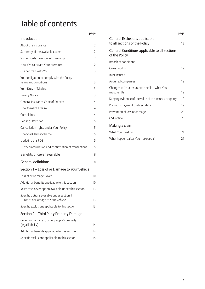## Table of contents

|                                                                                   | page           |
|-----------------------------------------------------------------------------------|----------------|
| Introduction                                                                      |                |
| About this insurance                                                              | 2              |
| Summary of the available covers                                                   | 2              |
| Some words have special meanings                                                  | 2              |
| How We calculate Your premium                                                     | $\overline{2}$ |
| Our contract with You                                                             | 3              |
| Your obligation to comply with the Policy<br>terms and conditions                 | 3              |
| Your Duty of Disclosure                                                           | 3              |
| Privacy Notice                                                                    | 3              |
| General Insurance Code of Practice                                                | 4              |
| How to make a claim                                                               | 4              |
| Complaints                                                                        | 4              |
| Cooling Off Period                                                                | 5              |
| Cancellation rights under Your Policy                                             | 5              |
| <b>Financial Claims Scheme</b>                                                    | 5              |
| Updating this PDS                                                                 | 5              |
| Further information and confirmation of transactions                              | 5              |
| <b>Benefits of cover available</b>                                                | 6              |
| <b>General definitions</b>                                                        | 8              |
| Section 1 – Loss of or Damage to Your Vehicle                                     |                |
| Loss of or Damage Cover                                                           | 10             |
| Additional benefits applicable to this section                                    | 10             |
| Restrictive cover option available under this section                             | 13             |
| Specific options available under section 1<br>- Loss of or Damage to Your Vehicle | 13             |
| Specific exclusions applicable to this section                                    | 13             |
| Section 2 – Third Party Property Damage                                           |                |
| Cover for damage to other people's property<br>(legal liability)                  | 14             |
| Additional benefits applicable to this section                                    | 14             |
| Specific exclusions applicable to this section                                    | 15             |

|                                                                       | page |
|-----------------------------------------------------------------------|------|
| <b>General Exclusions applicable</b><br>to all sections of the Policy | 17   |
| General Conditions applicable to all sections<br>of the Policy        |      |
| Breach of conditions                                                  | 19   |
| Cross liability                                                       | 19   |
| Joint insured                                                         | 19   |
| Acquired companies                                                    | 19   |
| Changes to Your insurance details – what You<br>must tell Us          | 19   |
| Keeping evidence of the value of the insured property                 | 19   |
| Premium payment by direct debit                                       | 19   |
| Prevention of loss or damage                                          | 20   |
| <b>GST</b> notice                                                     | 20   |
| Making a claim                                                        |      |
| What You must do                                                      | 21   |
| What happens after You make a claim                                   | 21   |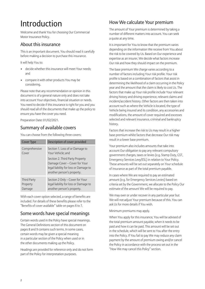## Introduction

Welcome and thank You for choosing Our Commercial Motor Insurance Policy.

## About this insurance

This is an important document. You should read it carefully before making a decision to purchase this insurance.

It will help You to:

- decide whether this insurance will meet Your needs; and
- compare it with other products You may be considering.

Please note that any recommendation or opinion in this document is of a general nature only and does not take into account Your objectives, financial situation or needs. You need to decide if this insurance is right for you and you should read all of the documents that make up the policy to ensure you have the cover you need.

Preparation Date: 01/02/2021.

## Summary of available covers

You can choose from the following three covers:

| <b>Cover Type</b>  | Description of cover provided                                                                                                           |
|--------------------|-----------------------------------------------------------------------------------------------------------------------------------------|
| Comprehensive      | Section 1. Loss of or Damage to                                                                                                         |
| Cover              | Your Vehicle; and                                                                                                                       |
|                    | Section 2. Third Party Property<br>Damage Cover - Cover for Your<br>legal liability for loss or Damage to<br>another person's property. |
| <b>Third Party</b> | Section 2 Only - Cover for Your                                                                                                         |
| Property           | legal liability for loss or Damage to                                                                                                   |
| Damage             | another person's property.                                                                                                              |

With each cover option selected, a range of benefits are included. For details of these benefits please refer to the "Benefits of cover available" table on pages 6 to 7.

## Some words have special meanings

Certain words used in the Policy have special meanings. The General Definitions section of this document on pages 8 and 9 contains such terms. In some cases, certain words may be given a special meaning in a particular section of the Policy when used or in the other documents making up the Policy.

Headings are provided for reference only and do not form part of the Policy for interpretation purposes.

## How We calculate Your premium

The amount of Your premium is determined by taking a number of different matters into account. You can seek a quote at any time.

It is important for You to know that the premium varies depending on the information We receive from You about the risk to be covered by Us. Based on Our experience and expertise as an insurer, We decide what factors increase Our risk and how they should impact on the premium.

The base premium We charge varies according to a number of factors including Your risk profile. Your risk profile is based on a combination of factors that assist in determining the likelihood of a claim occurring in the Policy year and the amount that the claim is likely to cost Us. The factors that make up Your risk profile include Your relevant driving history and driving experience, relevant claims and incident/accident history. Other factors are then taken into account such as where the Vehicle is located, the type of Vehicle being insured and its condition, any accessories and modifications, the amount of cover required and excesses selected and relevant insurance, criminal and bankruptcy history.

Factors that increase the risk to Us may result in a higher base premium whilst factors that decrease Our risk may result in a lower base premium.

Your premium also includes amounts that take into account Our obligation to pay any relevant compulsory government charges, taxes or levies (e.g. Stamp Duty, GST, Emergency Services Levy/ESL) in relation to Your Policy. These amounts will be set out separately on Your schedule of insurance as part of the total premium payable.

In cases where We are required to pay an estimated amount (e.g. for Emergency Services Levies) based on criteria set by the Government, we allocate to the Policy Our estimate of the amount We will be required to pay.

We may over or under recover in any particular year but We will not adjust Your premium because of this. You can ask Us for more details if You wish.

Minimum premiums may apply.

When You apply for this insurance, You will be advised of the total premium amount payable, when it needs to be paid and how it can be paid. This amount will be set out in the schedule, which will be sent to You after the entry into the Policy. If You fail to pay We may reduce any claim payment by the amount of premium owing and/or cancel the Policy in accordance with the process set out in the "How We may cancel this Policy" section.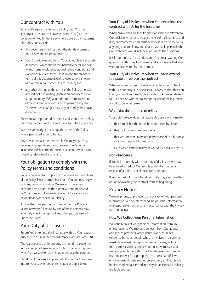## Our contract with You

Where We agree to enter into a Policy with You it is a contract of insurance between Us and You (see the definition of You for details of who is covered by this term). The Policy consists of:

- this document which sets out the standard terms of Your cover and its limitations;
- Your Schedule issued by Us. Your Schedule is a separate document, which shows the insurance details relevant to You. It may include additional terms, conditions and exclusions relevant to You that amend the standard terms of this document. Only those sections shown as covered in Your schedule are insured; and
- any other change to the terms of the Policy otherwise advised by Us in writing (such as an endorsement or Supplementary PDS) at or prior to commencement of the Policy or when required or permitted by law. These written changes may vary or modify the above documents.

These are all important documents and should be carefully read together and kept in a safe place for future reference.

We reserve the right to change the terms of the Policy where permitted to do so by law.

Any new or replacement schedule We may send You, detailing changes to Your insurance or the Period of insurance, will become the current schedule, which You should carefully read and retain.

## Your obligation to comply with the Policy terms and conditions

You are required to comply with the terms and conditions of the Policy. Please remember that if You do not comply with any term or condition, We may (to the extent permitted by law and to the extent We are prejudiced by Your non-compliance) decline or reduce any claim payment and/or cancel Your Policy.

If more than one person is insured under the Policy, a failure or wrongful action by one of those persons may adversely affect the rights of any other person insured under the Policy.

## Your Duty of Disclosure

Before You enter into this insurance with Us, You have a duty of disclosure under the Insurance Contracts Act 1984.

The Act imposes a different duty the first time You enter into a contract of insurance with Us to that which applies when You vary, extend, reinstate or replace the contract.

This duty of disclosure applies until the contract is entered into (or varied, extended or reinstated as applicable).

#### Your Duty of Disclosure when You enter into the contract with Us for the first time

When answering Our specific questions that are relevant to Our decision whether to accept the risk of the insurance and, if so, on what terms, You must be honest and disclose to Us anything that You know and that a reasonable person in the circumstances would include in answer to the questions.

It is important that You understand You are answering Our questions in this way for yourself and anyone else that You want to be covered by the contract.

#### Your Duty of Disclosure when You vary, extend, reinstate or replace the contract

When You vary, extend, reinstate or replace the contract with Us, Your duty is to disclose to Us every matter that You know, or could reasonably be expected to know, is relevant to Our decision whether to accept the risk of the insurance and, if so, on what terms.

#### What You do not need to tell us

Your duty however does not require disclosure of any matter:

- that diminishes the risk to be undertaken by Us; or
- that is of common knowledge; or
- that We know or, in the ordinary course of Our business as an insurer, ought to know; or
- as to which compliance with Your duty is waived by Us.

#### Non-disclosure

If You fail to comply with Your duty of disclosure, we may be entitled to reduce Our liability under the contract in respect of a claim, cancel the contract or both.

If Your non-disclosure is fraudulent, We may also have the option of avoiding the contract from its beginning.

### Privacy Notice

We give priority to protecting the privacy of Your personal information. We do this by handling personal information in a responsible manner and in accordance with the Privacy Act 1988 (Cth).

#### How We Collect Your Personal Information

We usually collect Your personal information from You or Your agents. We may also collect it from Our agents and service providers; other insurers and insurance reference bureaus; people who are involved in a claim or assist Us in investigating or processing claims, including third parties claiming under Your policy, witnesses and medical practitioners; third parties who may be arranging insurance cover for a group that You are a part of; law enforcement, dispute resolution, statutory and regulatory bodies; marketing lists and industry databases; and publicly available sources.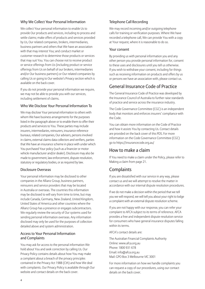#### Why We Collect Your Personal Information

We collect Your personal information to enable Us to provide Our products and services, including to process and settle claims; make offers of products and services provided by Us, Our related companies, brokers, intermediaries, business partners and others that We have an association with that may interest You; and conduct market or customer research to determine those products or services that may suit You. You can choose not to receive product or service offerings from Us (including product or service offerings from Us on behalf of our brokers, intermediaries and/or Our business partners) or Our related companies by calling Us or going to Our website's Privacy section which is available on the back cover.

If you do not provide your personal information we require, we may not be able to provide you with our services, including settlement of claims.

#### Who We Disclose Your Personal Information To

We may disclose Your personal information to others with whom We have business arrangements for the purposes listed in the paragraph above or to enable them to offer their products and services to You. These parties may include insurers, intermediaries, reinsurers, insurance reference bureaus, related companies, Our advisers, persons involved in claims, external claims data collectors and verifiers, parties that We have an insurance scheme in place with under which You purchased Your policy (such as a financier or motor vehicle manufacturer and/or dealer). Disclosure may also be made to government, law enforcement, dispute resolution, statutory or regulatory bodies, or as required by law.

#### Disclosure Overseas

Your personal information may be disclosed to other companies in the Allianz Group, business partners, reinsurers and service providers that may be located in Australia or overseas. The countries this information may be disclosed to will vary from time to time, but may include Canada, Germany, New Zealand, United Kingdom, United States of America and other countries where the Allianz Group has a presence or engages subcontractors. We regularly review the security of Our systems used for sending personal information overseas. Any information disclosed may only be used for the purposes of collection detailed above and system administration.

#### Access to Your Personal Information and Complaints

You may ask for access to the personal information We hold about You and seek correction by calling Us. Our Privacy Policy contains details about how You may make a complaint about a breach of the privacy principles contained in the Privacy Act 1988 (Cth) and how We deal with complaints. Our Privacy Policy is available through Our website and contact details on the back cover.

#### Telephone Call Recording

We may record incoming and/or outgoing telephone calls for training or verification purposes. Where We have recorded a telephone call, We can provide You with a copy at Your request, where it is reasonable to do so.

#### Your consent

By providing us with personal information you and any other person you provide personal information for, consent to these uses and disclosures until you tell us otherwise. If you wish to withdraw your consent, including for things such as receiving information on products and offers by us or persons we have an association with, please contact us.

## General Insurance Code of Practice

The General Insurance Code of Practice was developed by the Insurance Council of Australia to further raise standards of practice and service across the insurance industry.

The Code Governance Committee (CGC) is an independent body that monitors and enforces insurers' compliance with the Code.

You can obtain more information on the Code of Practice and how it assists You by contacting Us. Contact details are provided on the back cover of this PDS. For more information on the Code Governance Committee (CGC) go to https://insurancecode.org.au/

### How to make a claim

If You need to make a claim under the Policy, please refer to Making a claim from page 21.

## **Complaints**

If you are dissatisfied with our service in any way, please contact us and we will attempt to resolve the matter in accordance with our internal dispute resolution procedures.

If we do not make a decision within the period that we tell you we will respond, we will tell you about your right to lodge a complaint with an external dispute resolution scheme.

If you are not happy with our response, you can refer your complaint to AFCA subject to its terms of reference. AFCA provides a free and independent dispute resolution service for consumers who have general insurance disputes falling within its terms.

AFCA's contact details are:

The Australian Financial Complaints Authority Online: www.afca.org.au Phone: 1800 931 678 Email: info@afca.org.au Mail: GPO Box 3 Melbourne VIC 3001

For more information on how we handle complaints you can request a copy of our procedures, using our contact details on the back cover.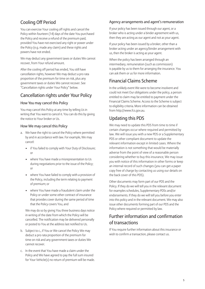## Cooling Off Period

You can exercise Your cooling off rights and cancel the Policy within fourteen (14) days of the date You purchased the Policy and receive a refund of the premium paid, provided You have not exercised any right or power under the Policy (e.g. made any claim) and these rights and powers have not ended.

We may deduct any government taxes or duties We cannot recover, from Your refund amount.

After the cooling off period has ended, You still have cancellation rights, however We may deduct a pro rata proportion of the premium for time on risk, plus any government taxes or duties We cannot recover. See "Cancellation rights under Your Policy" below.

## Cancellation rights under Your Policy

#### How You may cancel this Policy

You may cancel this Policy at any time by telling Us in writing that You want to cancel it. You can do this by giving the notice to Your broker or Us.

#### How We may cancel this Policy

- a. We have the right to cancel the Policy where permitted by and in accordance with law. For example, We may cancel:
	- if You failed to comply with Your Duty of Disclosure; or
	- where You have made a misrepresentation to Us during negotiations prior to the issue of the Policy; or
	- where You have failed to comply with a provision of the Policy, including the term relating to payment of premium; or
	- where You have made a fraudulent claim under the Policy or under some other contract of insurance that provides cover during the same period of time that the Policy covers You, and

 We may do so by giving You three business days notice in writing of the date from which the Policy will be cancelled. The notification may be delivered personally or posted to You at the address last notified to Us.

- b. Subject to c., if You or We cancel the Policy We may deduct a pro rata proportion of the premium for time on risk and any government taxes or duties We cannot recover.
- c. In the event that You have made a claim under the Policy and We have agreed to pay the full sum insured for Your Vehicle(s) no return of premium will be made.

### Agency arrangements and agent's remuneration

If your policy has been issued through our agent, or a broker who is acting under a binder agreement with us, then they are acting as our agent and not as your agent.

If your policy has been issued by a broker, other than a broker acting under an agency/binder arrangement with us, then the broker is acting as your agent.

When the policy has been arranged through an intermediary, remuneration (such as commission) is payable by us to them for arranging the insurance. You can ask them or us for more information.

## Financial Claims Scheme

In the unlikely event We were to become insolvent and could not meet Our obligations under the policy, a person entitled to claim may be entitled to payment under the Financial Claims Scheme. Access to the Scheme is subject to eligibility criteria. More information can be obtained from http://www.fcs.gov.au.

## Updating this PDS

We may need to update this PDS from time to time if certain changes occur where required and permitted by law. We will issue you with a new PDS or a Supplementary PDS or other compliant document to update the relevant information except in limited cases. Where the information is not something that would be materially adverse from the point of view of a reasonable person considering whether to buy this insurance, We may issue you with notice of this information in other forms or keep an internal record of such changes (you can get a paper copy free of charge by contacting us using our details on the back cover of this PDS).

Other documents may form part of our PDS and the Policy. If they do we will tell you in the relevant document for examples schedules, Supplementary PDSs and/or endorsements. If they do we will tell you before you enter into this policy and in the relevant document. We may also issue other documents forming part of our PDS and the Policy where required or permitted by law.

## Further information and confirmation of transactions

If You require further information about this insurance or wish to confirm a transaction, please contact us.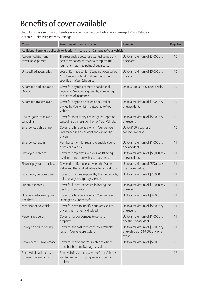## Benefits of cover available

The following is a summary of benefits available under Section 1 – Loss of or Damage to Your Vehicle and Section 2 – Third Party Property Damage.

| Cover                                            | Summary of cover available                                                                                                          | <b>Benefits</b>                                                             | Page No |
|--------------------------------------------------|-------------------------------------------------------------------------------------------------------------------------------------|-----------------------------------------------------------------------------|---------|
|                                                  | Additional benefits applicable to Section 1 - Loss of or Damage to Your Vehicle                                                     |                                                                             |         |
| Accommodation and<br>travelling expenses         | The reasonable costs for essential temporary<br>accommodation or travel to complete the<br>journey or return to point of departure. | Up to a maximum of \$3,000 any<br>one event                                 | 10      |
| Unspecified accessories                          | Loss or Damage to Non-Standard Accessories,<br>Attachments or Modifications that are not<br>specified in Your Schedule.             | Up to a maximum of \$5,000 any<br>one event.                                | 10      |
| Automatic Additions and<br><b>Deletions</b>      | Cover for any replacement or additional<br>registered Vehicles acquired by You during<br>the Period of Insurance.                   | Up to \$150,000 any one vehicle.                                            | 10      |
| <b>Automatic Trailer Cover</b>                   | Cover for any two wheeled or box trailer<br>owned by You whilst it is attached to Your<br>Vehicle.                                  | Up to a maximum of \$1,000 any<br>one accident.                             | 10      |
| Chains, gates, ropes and<br>tarpaulins           | Cover for theft of any chains, gates, ropes or<br>tarpaulins as a result of theft of Your Vehicle.                                  | Up to a maximum of \$5,000 any<br>one event,                                | 10      |
| Emergency Vehicle hire                           | Cover for a hire vehicle when Your Vehicle<br>is damaged in an Accident and can not be<br>driven.                                   | Up to \$100 a day for 2<br>consecutive days.                                | 10      |
| Emergency repairs                                | Reimbursement for repairs to enable You to<br>drive Your Vehicle.                                                                   | Up to a maximum of \$1,000 any<br>one accident.                             | 11      |
| Employees vehicles                               | Cover for employees Vehicles whilst being<br>used in connection with Your business.                                                 | Up to a maximum of \$50,000 any<br>one accident.                            | 11      |
| Finance payout - total loss                      | Covers the difference between the Market<br>Value and the residual value after a Total Loss.                                        | Up to a maximum of 25% above<br>the market value.                           | 11      |
| <b>Emergency Services cover</b>                  | Cover for charges imposed by the fire brigade,<br>police or any emergency services.                                                 | Up to a maximum of \$20,000.                                                | 11      |
| Funeral expenses                                 | Cover for funeral expenses following the<br>death of Your driver.                                                                   | Up to a maximum of \$10,000 any<br>one event                                | 11      |
| Hire vehicle following fire<br>and theft         | Cover for a hire vehicle when Your Vehicle is<br>Damaged by fire or theft.                                                          | Up to a maximum of \$3,000.                                                 | 11      |
| Modification to vehicle                          | Cover for costs to modify Your Vehicle if its<br>driver is permanently disabled.                                                    | Up to a maximum of \$5,000 any<br>one event.                                | 11      |
| Personal property                                | Cover for loss or Damage to personal<br>property.                                                                                   | Up to a maximum of \$1,000 any<br>one theft or accident.                    | 11      |
| Re-keying and re-coding                          | Cover for the cost to re-code Your Vehicles<br>locks if Your keys are stolen.                                                       | Up to a maximum of \$1,000 any<br>one vehicle or \$10,000 any one<br>event. | 11      |
| Recovery cost - No Damage                        | Cover for recovering Your Vehicles where<br>there has been no Damage sustained.                                                     | Up to a maximum of \$5,000.                                                 | 12      |
| Removal of basic excess<br>for windscreen claims | Removal of basic excess where Your Vehicles<br>windscreen or window glass is accidently<br>broken.                                  |                                                                             | 12      |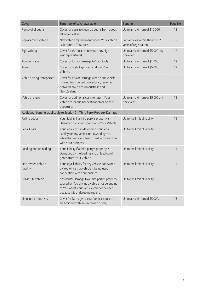| Cover                                                                     | Summary of cover available                                                                                                                                                        | <b>Benefits</b>                                             | Page No |  |
|---------------------------------------------------------------------------|-----------------------------------------------------------------------------------------------------------------------------------------------------------------------------------|-------------------------------------------------------------|---------|--|
| Removal of debris                                                         | Cover for costs to clean up debris from goods<br>falling or leaking.                                                                                                              | Up to a maximum of \$10,000.                                | 12      |  |
| Replacement vehicle                                                       | New vehicle replacement where Your Vehicle<br>is declared a Total Loss.                                                                                                           | For Vehicles within their first 2<br>years of registration. | 12      |  |
| Sign writing                                                              | Cover for the costs to reinstate any sign<br>writing or artwork.                                                                                                                  | Up to a maximum of \$5,000 any<br>one event.                | 12      |  |
| Tools of trade                                                            | Cover for loss or Damage to Your tools                                                                                                                                            | Up to a maximum of \$1,000.                                 | 12      |  |
| Towing                                                                    | Cover for costs to protect and tow Your<br>Vehicle.                                                                                                                               | Up to a maximum of \$5,000.                                 | 12      |  |
| Vehicle being transported                                                 | Cover for loss or Damage when Your vehicle<br>is being transported by road, rail, sea or air<br>between any places in Australia and<br>New Zealand.                               |                                                             | 12      |  |
| Vehicle return                                                            | Cover for additional costs to return Your<br>Vehicle to its original destination or point of<br>departure.                                                                        | Up to a maximum or \$5,000 any<br>one event.                | 12      |  |
| Additional benefits applicable to Section 2 - Third Party Property Damage |                                                                                                                                                                                   |                                                             |         |  |
| Falling goods                                                             | Your liability if a third party's property is<br>Damaged by falling goods from Your Vehicle.                                                                                      | Up to the limit of liability.                               | 15      |  |
| Legal Costs                                                               | Your legal costs in defending Your legal<br>liability for any vehicle not owned by You<br>while that vehicle is being used in connection<br>with Your business.                   | Up to the limit of liability.                               | 15      |  |
| Loading and unloading                                                     | Your liability if a third party's property is<br>Damaged by the loading and unloading of<br>goods from Your Vehicle.                                                              | Up to the limit of liability.                               | 15      |  |
| Non owned vehicle<br>liability                                            | Your legal liability for any vehicle not owned<br>by You while that vehicle is being used in<br>connection with Your business.                                                    | Up to the limit of liability.                               | 15      |  |
| Substitute vehicle                                                        | Accidental Damage to a third party's property<br>caused by You driving a vehicle not belonging<br>to You whilst Your Vehicle can not be used<br>because it is undergoing repairs. | Up to the limit of liability.                               | 15      |  |
| Uninsured motorists                                                       | Cover for Damage to Your Vehicle caused in<br>an Accident with an uninsured driver,                                                                                               | Up to a maximum of \$5,000.                                 | 15      |  |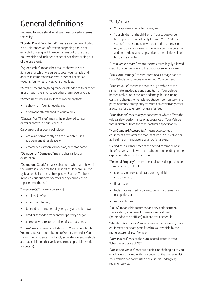## General definitions

You need to understand what We mean by certain terms in the Policy.

"Accident" and "Accidental" means a sudden event which is an unintended or unforeseen happening and is not expected or designed. The event arises out of the use of Your Vehicle and includes a series of Accidents arising out of the one event.

"Agreed Value" means the amount shown in Your Schedule for which we agree to cover your vehicle and applies to comprehensive cover of sedans or station wagons, four wheel drives, vans or utilities.

"Aircraft" means anything made or intended to fly or move in or through the air or space other than model aircraft.

"Attachment" means an item of machinery that:

- is shown on Your Schedule; and
- is permanently attached to Your Vehicle.

"Caravan" or "Trailer" means the registered caravan or trailer shown in Your Schedule.

Caravan or trailer does not include:

- a caravan permanently on site or which is used as a permanent residence, or
- a motorised caravan, campervan, or motor home.

"Damage" or "Damaged" means physical loss or destruction.

"Dangerous Goods" means substances which are shown in the Australian Code for the Transport of Dangerous Goods by Road or Rail as per each respective State or Territory in which Your business operates or any equivalent or replacement thereof.

"Employee(s)" means a person(s):

- employed by You;
- apprenticed to You;
- deemed to be Your employee by any applicable law;
- hired or seconded from another party by You; or
- an executive director or officer of Your business.

"Excess" means the amount shown in Your Schedule which You must pay as a contribution to Your claim under Your Policy. The basic excess will apply separately to each vehicle and each claim on that vehicle (see making a claim section for details).

"Family" means:

- Your spouse or de facto spouse, and
- Your children or the children of Your spouse or de facto spouse, who ordinarily live with You. A "de facto spouse" means a person whether of the same sex or not, who ordinarily lives with You in a genuine personal and domestic relationship similar to the relationship of husband and wife.

"Gross Vehicle mass" means the maximum legally allowed weight of Your Vehicle and the goods it can legally carry.

"Malicious Damage" means intentional Damage done to Your Vehicle by someone else without Your consent.

"Market Value" means the cost to buy a vehicle of the same make, model, age and condition of Your Vehicle immediately prior to the loss or damage but excluding costs and charges for vehicle registration, compulsory third party insurance, stamp duty transfer, dealer warranty costs, allowance for dealer profit or transfer fees.

"Modification" means any enhancement which affects the value, safety, performance or appearance of Your Vehicle that is different from the manufacturer's specification.

"Non-Standard Accessories" means accessories or equipment fitted after the manufacture of Your Vehicle or at the time of manufacture as an optional extra.

"Period of Insurance" means the period commencing at the effective date shown in the schedule and ending on the expiry date shown in the schedule.

"Personal Property" means personal items designed to be worn or carried, but not:

- cheques, money, credit cards or negotiable instruments, or
- firearms, or
- tools or items used in connection with a business or occupation, or
- mobile phones.

"Policy" means this document and any endorsement, specification, attachment or memoranda affixed (or intended to be affixed) to it and Your Schedule.

"Standard Accessories" means standard accessories, tools, equipment and spare parts fitted to Your Vehicle by the manufacturer of Your Vehicle.

"Sum Insured" means the Sum Insured stated in Your Schedule exclusive of GST.

"Substitute Vehicle" means a Vehicle not belonging to You which is used by You with the consent of the owner whilst Your Vehicle cannot be used because it is undergoing repair or service.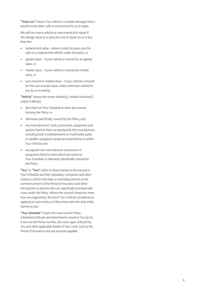"Total Loss" means Your vehicle is so badly damaged that it would not be either safe or economical for us to repair.

We will not treat a vehicle as uneconomical to repair if the salvage value to us plus the cost of repairs to us is less than the:

- replacement value where a total loss gives you the right to a replacement vehicle under the policy, or
- agreed value if your vehicle is insured for an agreed value, or
- market value if your vehicle is insured for market value, or
- sum insured or market value if your vehicle is insured for the sum insured value, unless otherwise notified to you by us in writing.

"Vehicle" means the motor vehicle(s), mobile machine(s) and/or trailer(s):

- described on Your Schedule or other documents forming the Policy; or
- otherwise specifically covered by the Policy, and;
- any manufacturers' tools, accessories, equipment and options fitted to them as standard by the manufacturer; including built in entertainment or multimedia audio or satellite navigation equipment attached to or within Your Vehicle; and
- any agreed non-manufacturer accessories or equipment fitted to them which are noted on Your Schedule or otherwise specifically covered by the Policy.

"You" or "Your" refers to those named as the insured in Your Schedule and their subsidiary companies and other entities in which they have a controlling interest at the commencement of the Period of Insurance and other third parties or persons who are specifically provided with cover under the Policy. Where the insured comprises more than one legal entity, the word 'You' shall be considered as applying to each entity as if that entity were the only entity named as you.

 "Your Schedule" means the most current Policy schedule/certificate and attachments issued to You by Us. It sets out the Policy number, the cover types selected by You and other applicable details of Your cover such as the Period of Insurance and any excesses payable.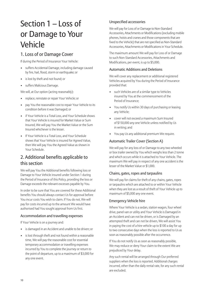## Section 1 – Loss of or Damage to Your Vehicle

## 1. Loss of or Damage Cover

If during the Period of Insurance Your Vehicle:

- suffers Accidental Damage, including damage caused by fire, hail, flood, storm or earthquake; or
- is lost by theft and not found; or
- suffers Malicious Damage.

We will, at Our option (acting reasonably):

- replace, reinstate or repair Your Vehicle; or
- pay You the reasonable cost to repair Your Vehicle to its condition before it was Damaged; or
- if Your Vehicle is a Total Loss, and Your Schedule shows that Your Vehicle is insured for Market Value or Sum Insured, We will pay You the Market Value or the Sum Insured whichever is the lesser.
- If Your Vehicle is a Total Loss, and Your Schedule shows that Your Vehicle is insured for Agreed Value, then We will pay You the Agreed Value as shown in Your Schedule.

## 2. Additional benefits applicable to this section

We will pay You the Additional benefits following loss or Damage to Your Vehicle insured under Section 1 during the Period of Insurance of this Policy, providing the loss or Damage exceeds the relevant excesses payable by You.

In order to be sure that You are covered for these Additional benefits You should always contact Us for approval before You incur costs You wish to claim. If You do not, We will pay for costs incurred up to the amount We would have authorised had You sought approval from Us first.

#### Accommodation and travelling expenses

If Your Vehicle is on a journey and:

- is damaged in an Accident and unable to be driven; or
- is lost through theft and not found within a reasonable time, We will pay the reasonable cost for essential temporary accommodation or travelling expenses incurred by You to complete the journey or return to the point of departure, up to a maximum of \$3,000 for any one event.

#### Unspecified accessories

We will pay for Loss of or Damage to Non-Standard Accessories, Attachments or Modifications (excluding mobile phones, hoists and cranes and those components that are fixed to the Vehicle) that are not specified as Non-Standard Accessories, Attachments or Modifications in Your Schedule.

The maximum amount We will pay for Loss of or Damage to such Non-Standard Accessories, Attachments and Modifications, per event, is up to \$5,000.

#### Automatic Additions and Deletions

We will cover any replacement or additional registered Vehicles acquired by You during the Period of Insurance provided that:

- such Vehicles are of a similar type to Vehicles insured by You at the commencement of the Period of Insurance;
- You notify Us within 30 days of purchasing or leasing any Vehicle;
- cover will not exceed a maximum Sum Insured of \$150,000 any one Vehicle unless notified by Us in writing; and
- You pay Us any additional premium We require.

#### Automatic Trailer Cover (Section A)

We will pay for any loss of or Damage to any two wheeled or box trailer owned by You which weighs less than 2 tonne and which occurs while it is attached to Your Vehicle. The maximum We will pay in respect of any one accident is the lesser of the Market Value or \$1,000.

#### Chains, gates, ropes and tarpaulins

We will pay for claims for theft of any chains, gates, ropes or tarpaulins which are attached to or within Your Vehicle when they are lost as a result of theft of Your Vehicle up to maximum of \$5,000 any one event.

#### Emergency Vehicle hire

Where Your Vehicle is a sedan, station wagon, four wheel drive, panel van or utility and Your Vehicle is Damaged in an Accident and can not be driven, or is Damaged by an attempted theft and can not be driven, We will assist You in paying the cost of a hire vehicle up to \$100 a day for up to two consecutive days when the loss is reported to Us as soon as reasonably possible after the occurrence.

If You do not notify Us as soon as reasonably possible, We may reduce or deny Your claim to the extent We are prejudiced by Your delay.

Any such rental will be arranged through Our preferred suppliers when the loss is reported. Additional charges incurred, other than the daily rental rate, for any such rental are excluded.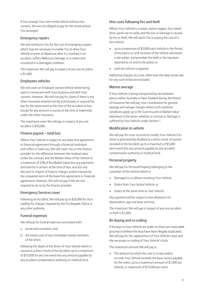If You arrange Your own rental vehicle without Our consent, We are not obliged to pay for the rental vehicle You arranged.

#### Emergency repairs

We will reimburse You for the cost of emergency repairs which may be necessary to enable You to drive Your Vehicle to point of departure after it is involved in an accident, suffers Malicious Damage, or is stolen and recovered in a Damaged condition.

The maximum We will pay in respect of any one Accident is \$1,000.

#### Employees vehicles

We will cover an Employee owned Vehicle whilst being used in connection with Your business and with Your consent. However, We will not pay for claims if there is any other insurance entered into by a third party or required by law for the same event at the time of the accident or loss. Except for any amount in excess of the limit of indemnity under the other insurance.

The maximum cover We will pay in respect of any one accident is \$50,000.

#### Finance payout – total loss

Where Your Vehicle is subject to any lease hire agreement or financial agreement through a financial institution and suffers a Total Loss, We will cover You or the finance provider for the difference between the residual value under the contract and the Market Value of the Vehicle to a maximum of 25% of the Market Value less any payments and interest in arrears at the time of loss, and less any discount in respect of finance charges and/or interest for the unexpired term of the lease hire agreement or financial agreement. However, We will not pay if We are not required to do so by the finance provider.

#### Emergency Services cover

Following an Accident, We will pay up to \$20,000 for Your Liability for charges imposed by the Fire Brigade, Police or any other authority.

#### Funeral expenses

We will pay for funeral expenses associated with:

- a. burial and cremation, and
- b. the travel costs of any immediate Family members of the driver,

following the death of the driver of Your Vehicle which is caused as a direct result of the Accident up to a maximum of \$10,000 for any one event less any amount payable by any accident compensation authority or medical fund.

#### Hire costs following fire and theft

Where Your Vehicle is a sedan, station wagon, four wheel drive, panel van or utility and the loss or Damage is caused by fire or theft, We will assist You in paying the cost of a hire vehicle:

- up to a maximum of \$3,000 each Vehicle in the Period of Insurance or until recovery of the Vehicle whichever is the earlier, and provided the theft or fire has been reported to Us and to the police, or
- until the Vehicle is repaired.

Additional charges incurred, other than the daily rental rate, for any such rental are excluded.

#### Marine average

If Your Vehicle is being transported by sea between places within Australia or New Zealand during the Period of Insurance We will pay Your contribution for general average and salvage charges where such maritime conditions apply up to the Sum Insured or Market Value whichever is the lesser, whether or not loss or Damage is suffered by Your Vehicle under Section 1.

#### Modification to vehicle

We will pay for costs incurred to modify Your Vehicle if its driver is permanently disabled as a direct result of injuries received in the Accident up to a maximum of \$5,000 each event less any amount payable by any accident compensation authority or medical fund.

#### Personal property

We will pay for Personal Property belonging to the custodian of the Vehicle which is:

- Damaged in a collision involving Your Vehicle,
- Stolen from Your locked Vehicle, or
- Stolen at the same time as Your Vehicle.

Any payment will be subject to due allowance for depreciation, age and wear and tear.

The maximum We will pay in respect of any one accident or theft is \$1,000.

#### Re-keying and re-coding

If the keys to Your Vehicle are stolen or there are reasonable grounds to believe the keys have been illegally duplicated, We will pay for the replacement of Your Vehicle's keys and the necessary re-coding of Your Vehicle's locks.

The maximum amount We will pay is:

The amount by which the cost to re-key and/or re-code Your Vehicle exceeds the basic excess payable for the claim, up to a maximum amount of \$1,000 per Vehicle, or maximum of \$10,000 per event.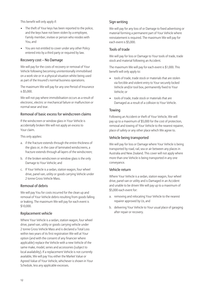This benefit will only apply if:

- The theft of Your keys has been reported to the police, and the keys have not been stolen by a employee, Family member, invitee or person who resides with You, and
- You are not entitled to cover under any other Policy entered into by a third party or required by law.

#### Recovery cost – No Damage

We will pay for the costs of recovery or removal of Your Vehicle following becoming unintentionally immobilised on a work site or in a physical situation whilst being used as part of the Insured's normal business operations.

The maximum We will pay for any one Period of Insurance is \$5,000.

We will not pay where immobilisation occurs as a result of electronic, electric or mechanical failure or malfunction or normal wear and tear.

#### Removal of basic excess for windscreen claims

If the windscreen or window glass in Your Vehicle is accidentally broken We will not apply an excess to Your claim.

This only applies:

- a. if the fracture extends through the entire thickness of the glass or, in the case of laminated windscreens, a fracture extends through all layers of the windscreen;
- b. if the broken windscreen or window glass is the only Damage to Your Vehicle; and
- c. If Your Vehicle is a sedan, station wagon, four wheel drive, panel van, utility or goods carrying Vehicle under 2 tonne Gross Vehicle Mass.

#### Removal of debris

We will pay You for costs incurred for the clean up and removal of Your Vehicle debris resulting from goods falling or leaking. The maximum We will pay for each event is \$10,000.

#### Replacement vehicle

Where Your Vehicle is a sedan, station wagon, four wheel drive, panel van, utility or goods carrying vehicle under 2 tonne Gross Vehicle Mass and is declared a Total Loss within two years of its first registration We will at Your option (and with the consent of any financier where applicable) replace the Vehicle with a new Vehicle of the same make, model, series and accessories (subject to local availability). If a replacement Vehicle is not currently available, We will pay You either the Market Value or Agreed Value of Your Vehicle, whichever is shown in Your Schedule, less any applicable excesses.

#### Sign writing

We will pay for any loss of or Damage to fixed advertising or material forming a permanent part of Your Vehicle where reinstatement is required. The maximum We will pay for each event is \$5,000.

#### Tools of trade

We will pay for loss or Damage to Your tools of trade, trade stock and material following an Accident.

The maximum We will pay for each event is \$1,000. This benefit will only apply to:

- tools of trade, trade stock or materials that are stolen via forcible and violent entry to Your securely locked Vehicle and/or tool box, permanently fixed to Your Vehicle; or
- tools of trade, trade stock or materials that are Damaged as a result of a collision to Your Vehicle.

#### **Towing**

Following an Accident or theft of Your Vehicle, We will pay up to a maximum of \$5,000 for the cost of protection, removal and towing of Your Vehicle to the nearest repairer, place of safety or any other place which We agree to.

#### Vehicle being transported

We will pay for loss or Damage where Your Vehicle is being transported by road, rail, sea or air between any places in Australia and New Zealand. This cover will not apply where more than one Vehicle is being transported in any one conveyance.

#### Vehicle return

Where Your Vehicle is a sedan, station wagon, four wheel drive, panel van or utility and is Damaged in an Accident and unable to be driven We will pay up to a maximum of \$5,000 each event for:

- a. removing and relocating Your Vehicle to the nearest repairer approved by Us, and
- b. delivering Your Vehicle to Your usual place of garaging after repair or recovery.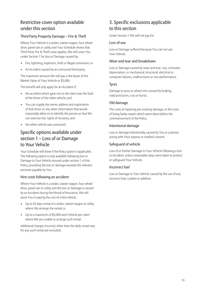## Restrictive cover option available under this section

#### Third Party Property Damage – Fire & Theft

Where Your Vehicle is a sedan, station wagon, four wheel drive, panel van or utility and Your Schedule shows that Third Party Fire & Theft cover applies, We will cover You under Section 1 for loss or Damage caused by:

- Fire, lightning, explosion, theft or illegal conversion; or
- An Accident caused by an uninsured third party.

The maximum amount We will pay is the lesser of the Market Value of Your Vehicle or \$5,000.

This benefit will only apply for an Accident if:

- the accident which gave rise to the claim was the fault of the driver of the other vehicle; and
- You can supply the name, address and registration of that driver or any other information that would reasonably allow Us to identify the person so that We can exercise Our rights of recovery; and
- the other vehicle was uninsured.

## Specific options available under section 1 – Loss of or Damage to Your Vehicle

Your Schedule will show if the Policy option is applicable. The following option is only available following loss or Damage to Your Vehicle insured under section 1 of this Policy, providing the loss or damage exceeds the relevant excesses payable by You.

#### Hire costs following an accident

Where Your Vehicle is a sedan, station wagon, four wheel drive, panel van or utility and the loss or Damage is caused by an Accident during the Period of Insurance, We will assist You in paying the cost of a hire vehicle;

- Up to 42 days rental of a sedan, station wagon or utility where We arrange the rental; or
- Up to a maximum of \$3,000 each Vehicle per claim where We are unable to arrange such rental.

Additional charges incurred, other than the daily rental rate, for any such rental are excluded.

## 3. Specific exclusions applicable to this section

Under Section 1 We will not pay for:

#### Loss of use

Loss or Damage suffered because You can not use Your Vehicle.

#### Wear and tear and breakdown

Loss or Damage caused by wear and tear, rust, corrosion, depreciation, or mechanical, structural, electrical or computer failures, malfunctions or non-performance.

#### Tyres

Damage to tyres or wheel rims caused by braking, road punctures, cuts or bursts.

#### Old damage

The costs of repairing pre-existing damage, or the costs of fixing faulty repairs which were done before the commencement of the Policy.

#### Intentional damage

Loss or damage intentionally caused by You or a person acting with Your express or implied consent.

#### Safeguard of vehicle

Loss of or further Damage to Your Vehicle following a loss or Accident, unless reasonable steps were taken to protect or safeguard Your Vehicle.

#### Incorrect fuel

Loss or Damage to Your Vehicle caused by the use of any incorrect fuel, coolant or additive.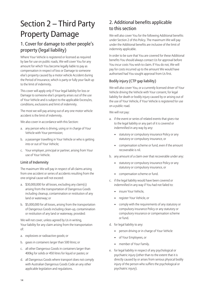## Section 2 – Third Party Property Damage

## 1. Cover for damage to other people's property (legal liability)

Where Your Vehicle is registered or licensed as required by law for use on public roads, We will cover You for any amount for which You become legally liable to pay as compensation in respect of loss or Damage to someone else's property caused by a motor vehicle Accident during the Period of Insurance, which is party or fully your fault up to the limit of indemnity.

This cover will apply only if Your legal liability for loss or Damage to someone else's property arises out of the use of Your Vehicle and is subject to the applicable Excess/es, conditions, exclusions and limit of indemnity.

The most we will pay arising out of any one motor vehicle accident is the limit of indemnity.

We also cover in accordance with this Section:

- a. any person who is driving, using or in charge of Your Vehicle with Your permission;
- b. a passenger travelling in Your Vehicle or who is getting into or out of Your Vehicle;
- c. Your employer, principal or partner, arising from Your use of Your Vehicle.

#### Limit of Indemnity

The maximum We will pay in respect of all claims arising from one accident or series of accidents resulting from the one original cause will not exceed:

- a. \$30,000,000 for all losses, excluding any claim(s) arising from the transportation of Dangerous Goods including cleanup, contamination or restitution of any land or waterway; or
- b. \$5,000,000 for all losses, arising from the transportation of Dangerous Goods including clean-up, contamination or restitution of any land or waterway, provided:

We will not cover, unless agreed by Us in writing, Your liability for any claim arising from the transportation of:

- a. explosives or radioactive goods; or
- b. gases in containers larger than 500 litres; or
- c. all other Dangerous Goods in containers larger than 400kg for solids or 450 litres for liquid or pastes; or
- d. all Dangerous Goods where transport does not comply with Australian Dangerous Goods Code an any other applicable legislation and regulations.

## 2. Additional benefits applicable to this section

We will also cover You for the following Additional benefits under Section 2 of this Policy. The maximum We will pay under the Additional benefits are inclusive of the limit of indemnity applicable.

In order to be sure that You are covered for these Additional benefits You should always contact Us for approval before You incur costs You wish to claim. If You do not, We will pay for costs incurred up to the amount We would have authorised had You sought approval from Us first.

#### Bodily injury (CTP gap liability)

We will also cover You, or a currently licensed driver of Your Vehicle driving the Vehicle with Your consent, for legal liability for death or bodily injury caused by or arising out of the use of Your Vehicle, if Your Vehicle is registered for use on a public road.

We will not pay:

- a. if the event or series of related events that gives rise to the legal liability or any part of it is covered or indemnified in any way by any:
	- statutory or compulsory insurance Policy or any statutory or compulsory insurance, or
	- compensation scheme or fund, even if the amount recoverable is nil.
- b. any amount of a claim over that recoverable under any:
	- statutory or compulsory insurance Policy or any statutory or compulsory insurance, or
	- compensation scheme or fund.
- c. if the legal liability would have been covered or indemnified in any way if You had not failed to:
	- insure Your Vehicle,
	- register Your Vehicle, or
	- comply with the requirements of any statutory or compulsory insurance Policy or any statutory or compulsory insurance or compensation scheme or fund.
- d. for legal liability to any:
	- person driving or in charge of Your Vehicle
	- of Your Employees, or
	- member of Your Family.
- e. for legal liability in respect of any psychological or psychiatric injury (other than to the extent that it is directly caused by or arises from serious physical bodily injury of the person who suffers the psychological or psychiatric injury).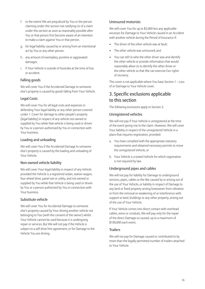- f. to the extent We are prejudiced by You or the person claiming under this section not notifying Us of a claim under this section as soon as reasonably possible after You or that person first become aware of an intention to make a claim against You or that person.
- g. for legal liability caused by or arising from an intentional act by You or any other person.
- h. any amount of exemplary, punitive or aggravated damages.
- i. if Your Vehicle is outside of Australia at the time of loss or accident.

#### Falling goods

We will cover You if the Accidental Damage to someone else's property is caused by goods falling from Your Vehicle.

#### Legal Costs

We will cover You for all legal costs and expenses in defending Your legal liability or any other person covered under 1. Cover for damage to other people's property (legal liability) in respect of any vehicle not owned or supplied by You while that vehicle is being used or driven by You or a person authorised by You in connection with Your business.

#### Loading and unloading

We will cover You if the Accidental Damage to someone else's property is caused by the loading and unloading of Your Vehicle.

#### Non owned vehicle liability

We will cover Your legal liability in respect of any Vehicle provided the Vehicle is a registered sedan, station wagon, four wheel drive, panel van or utility, and not owned or supplied by You while that Vehicle is being used or driven by You or a person authorised by You in connection with Your business.

#### Substitute vehicle

We will cover You for Accidental Damage to someone else's property caused by Your driving another vehicle not belonging to You (with the consent of the owner) whilst Your Vehicle cannot be used because it is undergoing repair or services. But We will not pay if the Vehicle is subject to a self drive hire agreement, or for Damage to the Vehicle You are driving.

#### Uninsured motorists

We will cover You for up to \$5,000 less any applicable excesses for Damage to Your Vehicle caused in an Accident with another vehicle during the Period of Insurance if:

- The driver of the other vehicle was at fault:
- The other vehicle was uninsured: and
- You can tell Us who the other driver was and identify the other vehicle or provide information that would reasonably allow Us to identify the other driver or the other vehicle so that We can exercise Our rights of recovery.

This cover is not applicable where You have Section 1 – Loss of or Damage to Your Vehicle cover.

### 3. Specific exclusions applicable to this section

The following exclusions apply to Section 2:

#### Unregistered vehicles

We will not pay if Your Vehicle is unregistered at the time of the event giving rise to the claim. However, We will cover Your liability in respect of the unregistered Vehicle in a place that requires registration, provided:

- a. You have complied with the appropriate statutory requirements and obtained necessary permits to move the unregistered Vehicle, or
- b. Your Vehicle is a towed Vehicle for which registration is not required by law.

#### Underground pipes and cables

We will not pay for liability for Damage to underground services, pipes, cables or the like caused by or arising out of the use of Your Vehicle, or liability in respect of Damage to any land or fixed property arising howsoever from vibration or from the removal or weakening of or interference with support to land, buildings or any other property, arising out of the use of Your Vehicle.

If Your Vehicle comes into direct contact with overhead cables, wires or conduits, We will pay only for the repair of the direct Damage so caused, up to a maximum of \$100,000 each event.

#### **Trailers**

We will not pay for Damage caused or contributed to by more than the legally permitted number of trailers attached to Your Vehicle.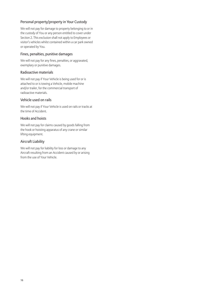#### Personal property/property in Your Custody

We will not pay for damage to property belonging to or in the custody of You or any person entitled to cover under Section 2. This exclusion shall not apply to Employees or visitor's vehicles whilst contained within a car park owned or operated by You.

#### Fines, penalties, punitive damages

We will not pay for any fines, penalties, or aggravated, exemplary or punitive damages.

#### Radioactive materials

We will not pay if Your Vehicle is being used for or is attached to or is towing a Vehicle, mobile machine and/or trailer, for the commercial transport of radioactive materials.

#### Vehicle used on rails

We will not pay if Your Vehicle is used on rails or tracks at the time of Accident.

#### Hooks and hoists

We will not pay for claims caused by goods falling from the hook or hoisting apparatus of any crane or similar lifting equipment.

#### Aircraft Liability

We will not pay for liability for loss or damage to any Aircraft resulting from an Accident caused by or arising from the use of Your Vehicle.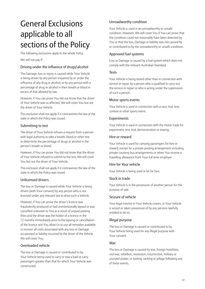## General Exclusions applicable to all sections of the Policy

The following exclusions apply to the whole Policy.

We will not pay if:

#### Driving under the influence of drugs/alcohol

The Damage, loss or injury is caused while Your Vehicle is being driven by any person impaired by or under the influence of any drug or alcohol, or by any person with a percentage of drug or alcohol in their breath or blood in excess of that allowed by law.

However, if You can prove You did not know that the driver of Your Vehicle was so affected, We will cover You but not the driver of Your Vehicle.

This exclusion shall not apply if it contravenes the law of the state in which the Policy was issued.

#### Submitting to test

The driver of Your Vehicle refuses a request from a person with legal authority to take a breath, blood or other test to determine the percentage of drugs or alcohol in the person's breath or blood.

However, if You can prove You did not know that the driver of Your Vehicle refused to submit to the test, We will cover You but not the driver of Your Vehicle.

This exclusion shall not apply if it contravenes the law of the state in which the Policy was issued.

#### Unlicensed drivers

The loss or Damage is caused while Your Vehicle is being driven (with Your consent) by any person who is not licensed under any relevant law to drive such a Vehicle.

However, if You can prove the driver's licence was fraudulently produced or had unintentionally lapsed or was cancelled unknown to You as a result of unpaid parking fines and the driver was the holder of a licence in the 12 months immediately prior to the lapsing or cancellation of the licence and You allow Us to use all remedies available to recover all costs associated with any loss or Damage occasioned or liability incurred by the driver of the Vehicle We will cover You.

#### Overloaded vehicle

The loss or Damage is caused or contributed to by Your Vehicle being used to carry or tow a load or carry passengers greater than that for which Your Vehicle was constructed.

#### Unroadworthy condition

Your Vehicle is used in an unroadworthy or unsafe condition. However, We will cover You if You can prove that the condition could not reasonably have been detected by You or that the loss, Damage or liability was not caused by or contributed to by the unroadworthy or unsafe condition.

#### Approved fuel systems

Loss or Damage is caused by a fuel system which does not comply with the relevant Australian Standard.

#### **Tests**

Your Vehicle is being tested other than in connection with service or repair by a person who is qualified to carry out the service or repair or who is acting under the supervision of such a person.

#### Motor sports events

Your Vehicle is used in connection with a race, trial, test, contest or other sports event.

#### **Experiments**

Your Vehicle is used in connection with the motor trade for experiment, test, trial, demonstration or towing.

#### Hire or reward

Your Vehicle is used for carrying passengers for hire or reward, except for a private pooling arrangement including private courtesy bus arrangements or when You receive a travelling allowance from Your full time employer.

#### Hire for Your vehicle

Your Vehicle is being used or let for hire.

#### Stock in trade

Your Vehicle is in the possession of another person for the purpose of sale.

#### Seizure of vehicle

Your legal interest in Your Vehicle ceases, or Your Vehicle is seized or taken possession of by any persons lawfully entitled to do so.

#### Illegal purpose

The loss or Damage is caused or contributed to by Your Vehicle being used for any illegal purpose with Your consent.

#### War

The loss or Damage is caused by war, foreign hostilities, civil war, rebellion, revolution, insurrection, military or usurped power, or looting, sacking or pillage following any of these events.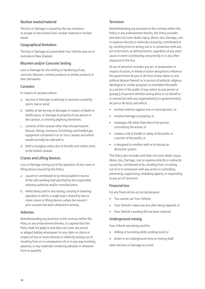#### Nuclear waste/material

The loss or Damage is caused by the use, existence or escape of any nuclear fuel, nuclear material or nuclear waste.

#### Geographical limitation

The loss or Damage occurred while Your Vehicle was not in Australia or New Zealand.

#### Bitumen and/or Concrete Setting

Loss or Damage for the settling or hardening of any concrete, bitumen, cement products or similar products or their derivatives.

#### Caravans

In respect of caravans where:

- a. any loss or Damage to awnings or annexes caused by storm, hail or wind;
- b. liability at law by way of damages in respect of death or bodily injury, or Damage to property of any person in the caravan, or entering alighting therefrom;
- c. contents of the caravan other than the permanent fixtures, fittings, furniture, furnishings and bottled gas equipment contained in or on Your caravan and which would normally be sold with it;
- d. theft or burglary unless due to forcible and violent entry to the locked caravan.

#### Cranes and Lifting Devices

Loss or Damage arising out of the operation of any crane or lifting device insured by this Policy:

- a. caused or contributed to by being loaded in excess of the safe working load specified by the responsible statutory authority and/or manufacturers;
- b. whilst being used in any raising, carrying or lowering operation in which a single load is shared by two or more cranes or lifting devices unless the insurer's prior consent has been obtained in writing.

#### Asbestos

Notwithstanding any provision to the contrary within this Policy or any endorsement thereto, it is agreed that this Policy shall not apply to and does not cover any actual or alleged liability whatsoever for any claim or claims in respect of loss or losses directly or indirectly arising out of, resulting from or in consequence of, or in any way involving asbestos, or any materials containing asbestos in whatever form or quantity.

#### Terrorism

Notwithstanding any provision to the contrary within this Policy or any endorsement thereto, this Policy excludes and does not cover death, injury, illness, loss, Damage, cost or expense directly or indirectly caused by, contributed to by, resulting from or arising out or in connection with any act of terrorism, as defined herein, regardless of any other cause or event contributing concurrently or in any other sequence to the loss.

An act of terrorism includes any act, or preparation in respect of action, or threat of action designed to influence the government de jure or de facto of any nation or any political division thereof, or in pursuit of political, religious, ideological or similar purposes to intimidate the public or a section of the public of any nation by any person or group(s) of persons whether acting alone or on behalf or in connection with any organisation(s) or government(s) de jure or de facto, and which:

- involves violence against one or more persons ; or
- involves Damage to property; or
- endangers life other than that of the person committing the action; or
- creates a risk to health or safety of the public or a section of the public; or
- is designed to interfere with or to disrupt an electronic system.

This Policy also excludes and does not cover death, injury, illness, loss, Damage, cost or expense directly or indirectly caused by, contributed to by, resulting from, or arising out of or in connection with any action in controlling, preventing, suppressing, retaliating against, or responding to any act of Terrorism.

#### Financial loss

For any financial loss occurring because:

- You cannot use Your Vehicle;
- Your Vehicle's value was less after being repaired; or
- Your Vehicle's working life has been reduced.

#### Underground mining

Your Vehicle was being used for:

- drilling or tunneling whilst underground; or
- driven in an underground mine or mining shaft

when the loss or Damage occurred.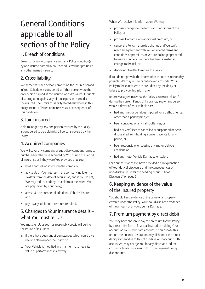## General Conditions applicable to all sections of the Policy

## 1. Breach of conditions

Breach of or non-compliance with any Policy condition(s) by one insured named in Your Schedule will not prejudice any other named insured.

## 2. Cross liability

We agree that each person comprising the insured named in Your Schedule is considered as if that person were the only person named as the insured, and We waive Our rights of subrogation against any of those persons named as the insured. The Limits of Liability stated elsewhere in this policy are not affected or increased as a consequence of this condition.

## 3. Joint insured

A claim lodged by any one person covered by the Policy is considered to be a claim by all persons covered by the Policy.

### 4. Acquired companies

We will cover any company or subsidiary company formed, purchased or otherwise acquired by You during the Period of Insurance as if they were You provided that You:

- hold a controlling interest in the company;
- advise Us of Your interest in the company no later than 14 days from the date of acquisition, and if You do not, We may reduce or deny Your claim to the extent We are prejudiced by Your delay;
- advise Us the number of additional Vehicles insured; and
- pay Us any additional premium required.

## 5. Changes to Your insurance details – what You must tell Us

You must tell Us as soon as reasonably possible if during the Period of Insurance:

- a. if there have been any circumstances which could give rise to a claim under the Policy; or
- b. Your Vehicle is modified in a manner that affects its value or performance in any way.

When We receive this information, We may:

- propose changes to the terms and conditions of the Policy, or
- propose to charge You additional premium, or
- cancel the Policy if there is a change and We can't reach an agreement with You on altered terms and conditions or premium, or We are no longer prepared to insure You because there has been a material change to the risk, or
- decide not to offer to renew the Policy.

If You do not provide the information as soon as reasonably possible, We may refuse or reduce a claim under Your Policy to the extent We are prejudiced by the delay or failure to provide this information.

Before We agree to renew the Policy You must tell Us if, during the current Period of Insurance, You or any person who is a driver of Your Vehicle has:

- had any fines or penalties imposed for a traffic offence, other than a parking fine, or
- been convicted of any traffic offences, or
- had a drivers' licence cancelled or suspended or been disqualified from holding a driver's licence for any period, or
- been responsible for causing any motor Vehicle accident, or
- had any motor Vehicle Damaged or stolen.

For Your assistance We have provided a full explanation of Your duty of disclosure and the consequences of non-disclosure under the heading "Your Duty of Disclosure" on page 3.

## 6. Keeping evidence of the value of the insured property

You should keep evidence of the value of all property covered under the Policy. You should also keep evidence of the amount of any Accidental Damage.

## 7. Premium payment by direct debit

You may have chosen to pay the premium for the Policy by direct debit from a financial institution holding Your account or Your credit card account. If You choose this option, the financial institution may dishonour the direct debit payment due to lack of funds in Your account. If this occurs, We may charge You for any direct and indirect costs which We incur arising from the payment being dishonoured.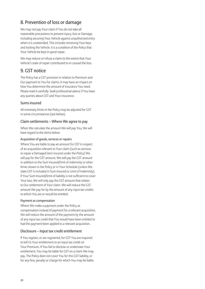## 8. Prevention of loss or damage

We may not pay Your claim if You do not take all reasonable precautions to prevent injury, loss or Damage, including securing Your Vehicle against unauthorised entry when it is unattended. This includes removing Your keys and locking the Vehicle. It is a condition of the Policy that Your Vehicle be kept in good repair.

We may reduce or refuse a claim to the extent that Your Vehicle's state of repair contributed to or caused the loss.

## 9. GST notice

The Policy has a GST provision in relation to Premium and Our payment to You for claims. It may have an impact on how You determine the amount of insurance You need. Please read it carefully. Seek professional advice if You have any queries about GST and Your insurance.

#### Sums insured

All monetary limits in the Policy may be adjusted for GST in some circumstances (see below).

#### Claim settlements – Where We agree to pay

When We calculate the amount We will pay You, We will have regard to the items below:

#### Acquisition of goods, services or repairs

Where You are liable to pay an amount for GST in respect of an acquisition relevant to Your claim (such as services to repair a Damaged item insured under the Policy) We will pay for the GST amount. We will pay the GST amount in addition to the Sum Insured/limit of indemnity or other limits shown in the Policy or in Your Schedule (unless We state GST is included in Sum Insured or Limit of Indemnity). If Your Sum Insured/limit of liability is not sufficient to cover Your loss, We will only pay the GST amount that relates to Our settlement of Your claim. We will reduce the GST amount We pay for by the amount of any input tax credits to which You are or would be entitled.

#### Payment as compensation

Where We make a payment under the Policy as compensation instead of payment for a relevant acquisition, We will reduce the amount of the payment by the amount of any input tax credit that You would have been entitled to had the payment been applied to a relevant acquisition.

#### Disclosure – Input tax credit entitlement

If You register, or are registered, for GST You are required to tell Us Your entitlement to an input tax credit on Your Premium. If You fail to disclose or understate Your entitlement, You may be liable for GST on a claim We may pay. The Policy does not cover You for this GST liability, or for any fine, penalty or charge for which You may be liable.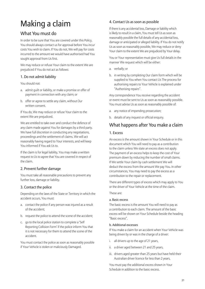## Making a claim

## What You must do

In order to be sure that You are covered under this Policy, You should always contact us for approval before You incur costs You wish to claim. If You do not, We will pay for costs incurred to the amount we would have authorised had You sought approval from Us first.

We may reduce or refuse Your claim to the extent We are prejudiced if You do not act as follows:

#### 1. Do not admit liability

You should not:

- a. admit guilt or liability, or make a promise or offer of payment in connection with any claim; or
- b. offer or agree to settle any claim, without Our written consent.

If You do, We may reduce or refuse Your claim to the extent We are prejudiced.

We are entitled to take over and conduct the defence of any claim made against You for damages by a third party. We have full discretion in conducting any negotiations, proceedings and the settlement of claims. We will act reasonably having regard to Your interests, and will keep You informed if You ask Us to.

If the claim is for legal liability, You may make a written request to Us to agree that You are covered in respect of the claim.

#### 2. Prevent further damage

You must take all reasonable precautions to prevent any further loss, damage or liability.

#### 3. Contact the police

Depending on the laws of the State or Territory in which the accident occurs, You must:

- a. contact the police if any person was injured as a result of the accident;
- b. request the police to attend the scene of the accident;
- c. go to the local police station to complete a 'Self Reporting Collision Form' if the police inform You that it is not necessary for them to attend the scene of the accident.

You must contact the police as soon as reasonably possible if Your Vehicle is stolen or maliciously Damaged.

#### 4. Contact Us as soon as possible

If there is any accidental loss, Damage or liability which is likely to result in a claim, You must tell Us as soon as reasonably possible the full details of any accidental loss, damage or anticipated or alleged liability. If You do not notify Us as soon as reasonably possible, We may reduce or deny Your claim to the extent We are prejudiced by Your delay.

You or Your representative must give Us full details in the manner We request which will be either:

- a. verbally; or
- b. in writing by completing Our claim form which will be supplied to You when You contact Us The process for authorising repairs to Your Vehicle is explained under "Authorising repairs".

Any correspondence You receive regarding the accident or event must be sent to Us as soon as reasonably possible. You must advise Us as soon as reasonably possible of:

- a. any notice of impending prosecution;
- b. details of any inquest or official enquiry.

## What happens after You make a claim

#### 1. Excess

An excess is the amount shown in Your Schedule or in this document which You will need to pay as a contribution to the claim unless We state an excess does not apply. The payment of an excess helps to keep the cost of Your premium down by reducing the number of small claims. If We settle Your claim by cash settlement We will deduct the excess from the amount We pay You. In other circumstances, You may need to pay the excess as a contribution to the repair or replacement.

There are different types of excess which may apply to You or the driver of Your Vehicle at the time of the claim.

#### These are:

#### a. Basic excess

The basic excess is the amount You will need to pay as a contribution to each claim. The amount of the basic excess will be shown on Your Schedule beside the heading "Basic excess".

#### b. Additional excesses

If You make a claim for an accident when Your Vehicle was being driven by or was in the charge of a driver:

- i. all drivers up to the age of 21 years,
- ii. a driver aged between 21 and 25 years,
- iii. drivers aged greater than 25 years but have held their Australian driver licence for less than 2 years,

You must pay the additional excess shown in Your Schedule in addition to the basic excess.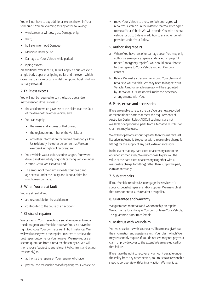You will not have to pay additional excess shown in Your Schedule if You are claiming for any of the following:

- windscreen or window glass Damage only;
- theft;
- hail, storm or flood Damage;
- Malicious Damage; or
- Damage to Your Vehicle while parked.

#### c. Tipping excess

An additional excess of \$1,000 will apply if Your Vehicle is a rigid body tipper or a tipping trailer and the event which gives rise to a claim occurs whilst the tipping hoist is fully or partially elevated.

#### 2. Faultless excess

You will not be required to pay the basic, age and/or inexperienced driver excess if:

- the accident which gave rise to the claim was the fault of the driver of the other vehicle; and
- You can supply:
	- the name and address of that driver,
	- the registration number of the Vehicle, or
	- any other information that would reasonably allow Us to identify the other person so that We can exercise Our rights of recovery, and
- Your Vehicle was a sedan, station wagon, four wheel drive, panel van, utility or goods carrying Vehicle under 2 tonne Gross Vehicle Mass, and
- The amount of the claim exceeds Your basic and age excess under the Policy and is not a claim for windscreen damage.

#### 3. When You are at fault

You are at fault if You:

- are responsible for the accident; or
- contributed to the cause of an accident.

#### 4. Choice of repairer

We can assist You in selecting a suitable repairer to repair the damage to Your Vehicle; however You also have the right to choose Your own repairer. In both instances We will work closely with the repairer to strive to achieve the best repair outcome for You however We may require a second quotation from a repairer chosen by Us. We will then choose (subject to any relevant Policy limits and acting reasonably) to:

- authorise the repairs at Your repairer of choice;
- pay You the reasonable cost of repairing Your Vehicle; or

move Your Vehicle to a repairer We both agree will repair Your Vehicle. In the instance that We both agree to move Your Vehicle We will provide You with a rental vehicle for up to 3 days in addition to any other benefit provided under Your Policy.

#### 5. Authorising repairs

- a. Where You have loss of or damage cover You may only authorise emergency repairs as detailed on page 11 under "Emergency repairs". You should not authorise further repairs to Your Vehicle without Our prior consent.
- b. Before We make a decision regarding Your claim and repairs to Your Vehicle, We may need to inspect Your Vehicle. A motor vehicle assessor will be appointed by Us. We or Our assessor will make the necessary arrangements with You.

#### 6. Parts, extras and accessories

If We are unable to repair the part We use new, recycled or reconditioned parts that meet the requirements of Australian Design Rules (ADR). If such parts are not available or appropriate, parts from alternative distribution channels may be used.

We will not pay any amount greater than the maker's last list price in Australia (together with a reasonable charge for fitting) for the supply of any part, extra or accessory.

In the event that any part, extra or accessory cannot be obtained immediately, We may choose to pay You the value of the part, extra or accessory (together with a reasonable charge for fitting) rather than supply the part, extra or accessory.

#### 7. Sublet repairs

If Your Vehicle requires Us to engage the services of a specific specialist repairer and/or supplier We may sublet that component to such repairer or supplier.

#### 8. Guarantee and warranty

We guarantee materials and workmanship on repairs We authorise for as long as You own or lease Your Vehicle. This guarantee is not transferable.

#### 9. Assist Us with Your claim

You must assist Us with Your claim. This means give Us all the information and assistance with Your claim which We may reasonably require. If You do not We may not pay Your claim or provide cover to the extent We are prejudiced by that failure.

If We have the right to recover any amount payable under the Policy from any other person, You must take reasonable steps to co-operate with Us in any action We may take.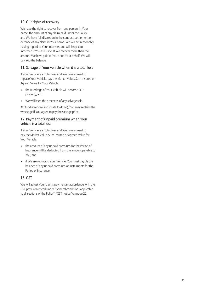#### 10. Our rights of recovery

We have the right to recover from any person, in Your name, the amount of any claim paid under the Policy and We have full discretion in the conduct, settlement or defence of any claim in Your name. We will act reasonably having regard to Your interests, and will keep You informed if You ask Us to. If We recover more than the amount We have paid to You or on Your behalf, We will pay You the balance.

#### 11. Salvage of Your vehicle when it is a total loss

If Your Vehicle is a Total Loss and We have agreed to replace Your Vehicle, pay the Market Value, Sum Insured or Agreed Value for Your Vehicle:

- the wreckage of Your Vehicle will become Our property, and
- We will keep the proceeds of any salvage sale.

At Our discretion (and if safe to do so), You may reclaim the wreckage if You agree to pay the salvage price.

#### 12. Payment of unpaid premium when Your vehicle is a total loss

If Your Vehicle is a Total Loss and We have agreed to pay the Market Value, Sum Insured or Agreed Value for Your Vehicle:

- the amount of any unpaid premium for the Period of Insurance will be deducted from the amount payable to You, and
- if We are replacing Your Vehicle, You must pay Us the balance of any unpaid premium or instalments for the Period of Insurance.

#### 13. GST

We will adjust Your claims payment in accordance with the GST provision noted under "General conditions applicable to all sections of the Policy", "GST notice" on page 20.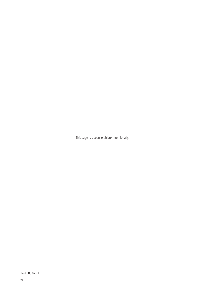This page has been left blank intentionally.

Text 088 02.21